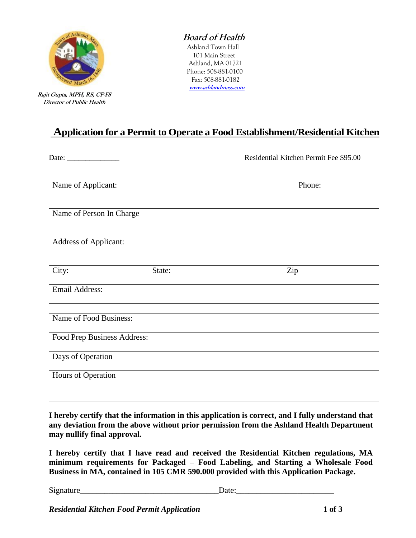

 **Rajit Gupta, MPH, RS, CP-FS Director of Public Health** 

## **Board of Health**

 Ashland Town Hall 101 Main Street Ashland, MA 01721 Phone: 508-881-0100 Fax: 508-881-0182  **[www.ashlandmass.com](http://www.ashlandmass.com/)**

# **Application for a Permit to Operate a Food Establishment/Residential Kitchen**

Date: \_\_\_\_\_\_\_\_\_\_\_\_\_\_ Residential Kitchen Permit Fee \$95.00

| Name of Applicant:           |        | Phone: |
|------------------------------|--------|--------|
| Name of Person In Charge     |        |        |
| <b>Address of Applicant:</b> |        |        |
| City:                        | State: | Zip    |
| <b>Email Address:</b>        |        |        |
| Name of Food Business:       |        |        |
| Food Prep Business Address:  |        |        |
| Days of Operation            |        |        |
| Hours of Operation           |        |        |

**I hereby certify that the information in this application is correct, and I fully understand that any deviation from the above without prior permission from the Ashland Health Department may nullify final approval.**

**I hereby certify that I have read and received the Residential Kitchen regulations, MA minimum requirements for Packaged – Food Labeling, and Starting a Wholesale Food Business in MA, contained in 105 CMR 590.000 provided with this Application Package.**

Signature\_\_\_\_\_\_\_\_\_\_\_\_\_\_\_\_\_\_\_\_\_\_\_\_\_\_\_\_\_\_\_\_\_\_Date:\_\_\_\_\_\_\_\_\_\_\_\_\_\_\_\_\_\_\_\_\_\_\_\_

*Residential Kitchen Food Permit Application* **1 of 3**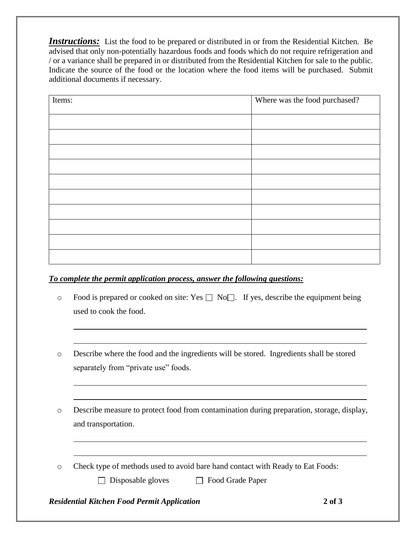**Instructions:** List the food to be prepared or distributed in or from the Residential Kitchen. Be advised that only non-potentially hazardous foods and foods which do not require refrigeration and / or a variance shall be prepared in or distributed from the Residential Kitchen for sale to the public. Indicate the source of the food or the location where the food items will be purchased. Submit additional documents if necessary.

| Items: | Where was the food purchased? |
|--------|-------------------------------|
|        |                               |
|        |                               |
|        |                               |
|        |                               |
|        |                               |
|        |                               |
|        |                               |
|        |                               |
|        |                               |
|        |                               |

### *To complete the permit application process, answer the following questions:*

- $\circ$  Food is prepared or cooked on site: Yes  $\Box$  No  $\Box$ . If yes, describe the equipment being used to cook the food.
- o Describe where the food and the ingredients will be stored. Ingredients shall be stored separately from "private use" foods.

o Describe measure to protect food from contamination during preparation, storage, display, and transportation.

o Check type of methods used to avoid bare hand contact with Ready to Eat Foods:

 $\Box$  Disposable gloves  $\Box$  Food Grade Paper

### *Residential Kitchen Food Permit Application* **2 of 3**